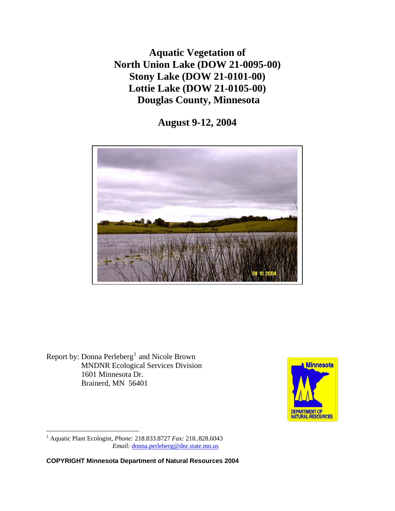**Aquatic Vegetation of North Union Lake (DOW 21-0095-00) Stony Lake (DOW 21-0101-00) Lottie Lake (DOW 21-0105-00) Douglas County, Minnesota** 

**August 9-12, 2004** 



Report by: Donna Perleberg<sup>[1](#page-0-0)</sup> and Nicole Brown MNDNR Ecological Services Division 1601 Minnesota Dr. Brainerd, MN 56401



<span id="page-0-0"></span>1 Aquatic Plant Ecologist, *Phone:* 218.833.8727 *Fax:* 218..828.6043  *Email:* [donna.perleberg@dnr.state.mn.us](mailto:donna.perleberg@dnr.state.mn.us)

 $\overline{a}$ 

**COPYRIGHT Minnesota Department of Natural Resources 2004**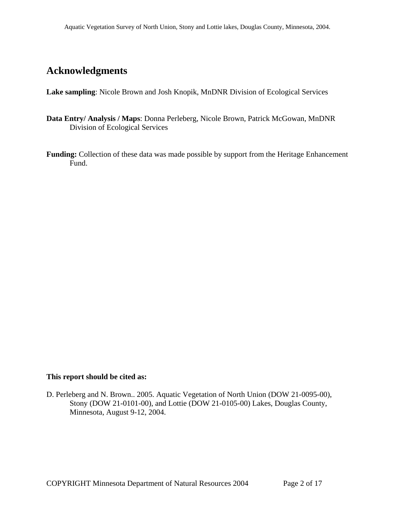## **Acknowledgments**

**Lake sampling**: Nicole Brown and Josh Knopik, MnDNR Division of Ecological Services

- **Data Entry/ Analysis / Maps**: Donna Perleberg, Nicole Brown, Patrick McGowan, MnDNR Division of Ecological Services
- **Funding:** Collection of these data was made possible by support from the Heritage Enhancement Fund.

#### **This report should be cited as:**

D. Perleberg and N. Brown.. 2005. Aquatic Vegetation of North Union (DOW 21-0095-00), Stony (DOW 21-0101-00), and Lottie (DOW 21-0105-00) Lakes, Douglas County, Minnesota, August 9-12, 2004.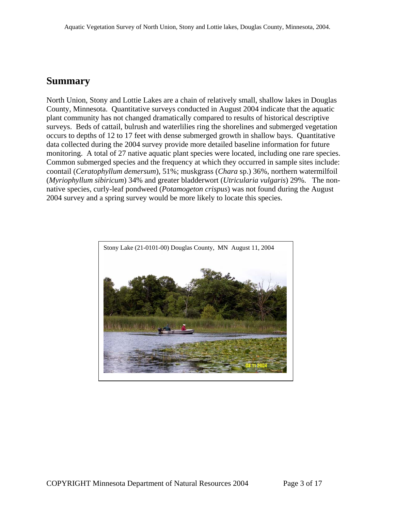### **Summary**

North Union, Stony and Lottie Lakes are a chain of relatively small, shallow lakes in Douglas County, Minnesota. Quantitative surveys conducted in August 2004 indicate that the aquatic plant community has not changed dramatically compared to results of historical descriptive surveys. Beds of cattail, bulrush and waterlilies ring the shorelines and submerged vegetation occurs to depths of 12 to 17 feet with dense submerged growth in shallow bays. Quantitative data collected during the 2004 survey provide more detailed baseline information for future monitoring. A total of 27 native aquatic plant species were located, including one rare species. Common submerged species and the frequency at which they occurred in sample sites include: coontail (*Ceratophyllum demersum*), 51%; muskgrass (*Chara* sp.) 36%, northern watermilfoil (*Myriophyllum sibiricum*) 34% and greater bladderwort (*Utricularia vulgaris*) 29%. The nonnative species, curly-leaf pondweed (*Potamogeton crispus*) was not found during the August 2004 survey and a spring survey would be more likely to locate this species.

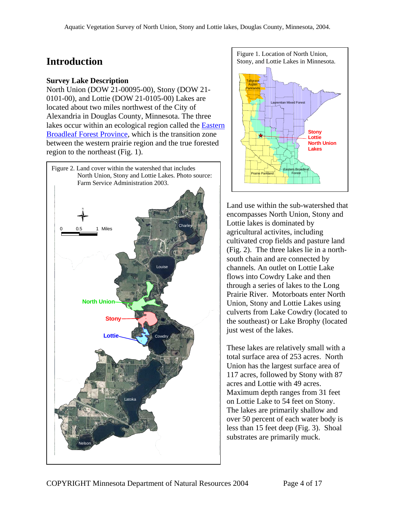#### **Survey Lake Description**

North Union (DOW 21-00095-00), Stony (DOW 21- 0101-00), and Lottie (DOW 21-0105-00) Lakes are located about two miles northwest of the City of Alexandria in Douglas County, Minnesota. The three lakes occur within an ecological region called the [Eastern](http://www.dnr.state.mn.us/ecs/index.html)  [Broadleaf Forest Province](http://www.dnr.state.mn.us/ecs/index.html), which is the transition zone between the western prairie region and the true forested region to the northeast (Fig. 1).





Land use within the sub-watershed that encompasses North Union, Stony and Lottie lakes is dominated by agricultural activites, including cultivated crop fields and pasture land (Fig. 2). The three lakes lie in a northsouth chain and are connected by channels. An outlet on Lottie Lake flows into Cowdry Lake and then through a series of lakes to the Long Prairie River. Motorboats enter North Union, Stony and Lottie Lakes using culverts from Lake Cowdry (located to the southeast) or Lake Brophy (located just west of the lakes.

These lakes are relatively small with a total surface area of 253 acres. North Union has the largest surface area of 117 acres, followed by Stony with 87 acres and Lottie with 49 acres. Maximum depth ranges from 31 feet on Lottie Lake to 54 feet on Stony. The lakes are primarily shallow and over 50 percent of each water body is less than 15 feet deep (Fig. 3). Shoal substrates are primarily muck.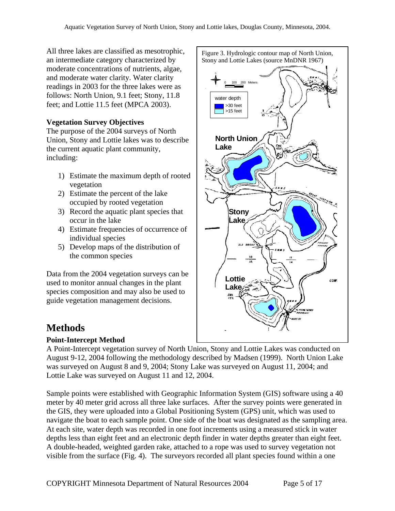All three lakes are classified as mesotrophic, an intermediate category characterized by moderate concentrations of nutrients, algae, and moderate water clarity. Water clarity readings in 2003 for the three lakes were as follows: North Union, 9.1 feet; Stony, 11.8 feet; and Lottie 11.5 feet (MPCA 2003).

#### **Vegetation Survey Objectives**

The purpose of the 2004 surveys of North Union, Stony and Lottie lakes was to describe the current aquatic plant community, including:

- 1) Estimate the maximum depth of rooted vegetation
- 2) Estimate the percent of the lake occupied by rooted vegetation
- 3) Record the aquatic plant species that occur in the lake
- 4) Estimate frequencies of occurrence of individual species
- 5) Develop maps of the distribution of the common species

Data from the 2004 vegetation surveys can be used to monitor annual changes in the plant species composition and may also be used to guide vegetation management decisions.

# **Methods**

### **Point-Intercept Method**

A Point-Intercept vegetation survey of North Union, Stony and Lottie Lakes was conducted on August 9-12, 2004 following the methodology described by Madsen (1999). North Union Lake was surveyed on August 8 and 9, 2004; Stony Lake was surveyed on August 11, 2004; and Lottie Lake was surveyed on August 11 and 12, 2004.

Sample points were established with Geographic Information System (GIS) software using a 40 meter by 40 meter grid across all three lake surfaces. After the survey points were generated in the GIS, they were uploaded into a Global Positioning System (GPS) unit, which was used to navigate the boat to each sample point. One side of the boat was designated as the sampling area. At each site, water depth was recorded in one foot increments using a measured stick in water depths less than eight feet and an electronic depth finder in water depths greater than eight feet. A double-headed, weighted garden rake, attached to a rope was used to survey vegetation not visible from the surface (Fig. 4). The surveyors recorded all plant species found within a one

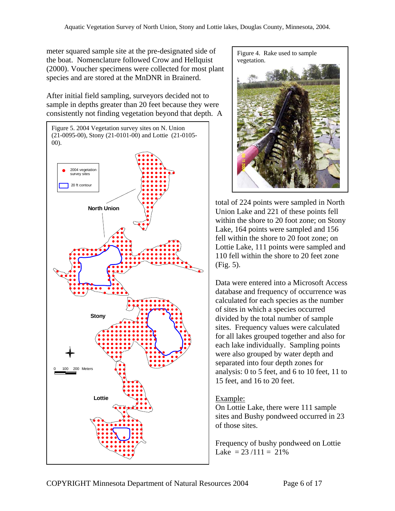meter squared sample site at the pre-designated side of the boat. Nomenclature followed Crow and Hellquist (2000). Voucher specimens were collected for most plant species and are stored at the MnDNR in Brainerd.

After initial field sampling, surveyors decided not to sample in depths greater than 20 feet because they were consistently not finding vegetation beyond that depth. A



Figure 4. Rake used to sample vegetation.



total of 224 points were sampled in North Union Lake and 221 of these points fell within the shore to 20 foot zone; on Stony Lake, 164 points were sampled and 156 fell within the shore to 20 foot zone; on Lottie Lake, 111 points were sampled and 110 fell within the shore to 20 feet zone (Fig. 5).

Data were entered into a Microsoft Access database and frequency of occurrence was calculated for each species as the number of sites in which a species occurred divided by the total number of sample sites. Frequency values were calculated for all lakes grouped together and also for each lake individually. Sampling points were also grouped by water depth and separated into four depth zones for analysis: 0 to 5 feet, and 6 to 10 feet, 11 to 15 feet, and 16 to 20 feet.

#### Example:

On Lottie Lake, there were 111 sample sites and Bushy pondweed occurred in 23 of those sites.

Frequency of bushy pondweed on Lottie Lake  $= 23/111 = 21\%$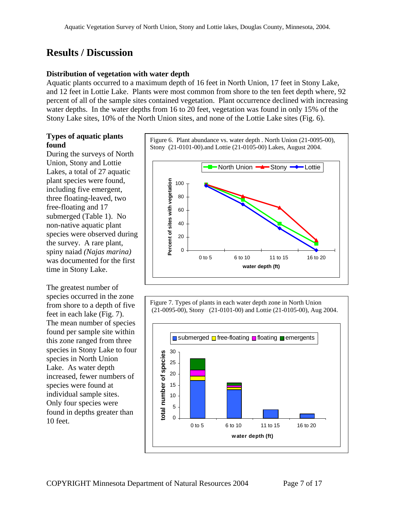# **Results / Discussion**

#### **Distribution of vegetation with water depth**

Aquatic plants occurred to a maximum depth of 16 feet in North Union, 17 feet in Stony Lake, and 12 feet in Lottie Lake. Plants were most common from shore to the ten feet depth where, 92 percent of all of the sample sites contained vegetation. Plant occurrence declined with increasing water depths. In the water depths from 16 to 20 feet, vegetation was found in only 15% of the Stony Lake sites, 10% of the North Union sites, and none of the Lottie Lake sites (Fig. 6).

# **Types of aquatic plants**

During the surveys of North Union, Stony and Lottie Lakes, a total of 27 aquatic plant species were found, including five emergent, three floating-leaved, two free-floating and 17 submerged (Table 1). No non-native aquatic plant species were observed during the survey. A rare plant, spiny naiad *(Najas marina)*  was documented for the first time in Stony Lake.

The greatest number of species occurred in the zone from shore to a depth of five feet in each lake (Fig. 7). The mean number of species found per sample site within this zone ranged from three species in Stony Lake to four species in North Union Lake. As water depth increased, fewer numbers of species were found at individual sample sites. Only four species were found in depths greater than 10 feet.

**found** Figure 6. Plant abundance vs. water depth . North Union (21-0095-00), Stony (21-0101-00).and Lottie (21-0105-00) Lakes, August 2004.



Figure 7. Types of plants in each water depth zone in North Union (21-0095-00), Stony (21-0101-00) and Lottie (21-0105-00), Aug 2004.

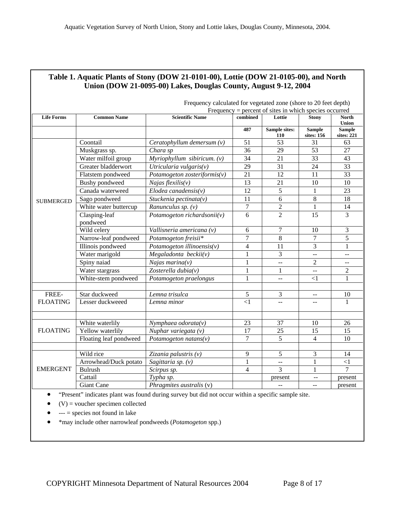| Table 1. Aquatic Plants of Stony (DOW 21-0101-00), Lottie (DOW 21-0105-00), and North<br>Union (DOW 21-0095-00) Lakes, Douglas County, August 9-12, 2004 |                                                                  |                                  |                         |                          |                             |                                               |
|----------------------------------------------------------------------------------------------------------------------------------------------------------|------------------------------------------------------------------|----------------------------------|-------------------------|--------------------------|-----------------------------|-----------------------------------------------|
|                                                                                                                                                          |                                                                  |                                  |                         |                          |                             |                                               |
|                                                                                                                                                          | Frequency calculated for vegetated zone (shore to 20 feet depth) |                                  |                         |                          |                             |                                               |
|                                                                                                                                                          | Frequency = percent of sites in which species occurred           |                                  |                         |                          |                             |                                               |
| <b>Life Forms</b>                                                                                                                                        | <b>Common Name</b>                                               | <b>Scientific Name</b>           | combined                | Lottie                   | <b>Stony</b>                | <b>North</b><br><b>Union</b>                  |
|                                                                                                                                                          |                                                                  |                                  | 487                     | Sample sites:<br>110     | <b>Sample</b><br>sites: 156 | <b>Sample</b><br>sites: 221                   |
| <b>SUBMERGED</b>                                                                                                                                         | Coontail                                                         | Ceratophyllum demersum $(v)$     | 51                      | 53                       | 31                          | 63                                            |
|                                                                                                                                                          | Muskgrass sp.                                                    | Chara sp                         | 36                      | 29                       | 53                          | 27                                            |
|                                                                                                                                                          | Water milfoil group                                              | $Myriophyllum$ sibiricum. $(v)$  | 34                      | 21                       | $\overline{33}$             | 43                                            |
|                                                                                                                                                          | Greater bladderwort                                              | Utricularia vulgaris $(v)$       | 29                      | 31                       | 24                          | 33                                            |
|                                                                                                                                                          | Flatstem pondweed                                                | Potamogeton zosteriformis( $v$ ) | 21                      | 12                       | 11                          | 33                                            |
|                                                                                                                                                          | <b>Bushy</b> pondweed                                            | Najas flexilis $(v)$             | 13                      | 21                       | 10                          | $10\,$                                        |
|                                                                                                                                                          | Canada waterweed                                                 | $E$ lodea canadensis(v)          | 12                      | 5                        | $\mathbf{1}$                | 23                                            |
|                                                                                                                                                          | Sago pondweed                                                    | Stuckenia pectinata $(v)$        | 11                      | 6                        | $\,8\,$                     | 18                                            |
|                                                                                                                                                          | White water buttercup                                            | Ranunculus sp. (v)               | $\boldsymbol{7}$        | $\overline{2}$           | $\mathbf{1}$                | 14                                            |
|                                                                                                                                                          | Clasping-leaf<br>pondweed                                        | Potamogeton richardsonii(v)      | 6                       | $\overline{2}$           | 15                          | $\overline{3}$                                |
|                                                                                                                                                          | Wild celery                                                      | Vallisneria americana (v)        | 6                       | $\tau$                   | 10                          | 3                                             |
|                                                                                                                                                          | Narrow-leaf pondweed                                             | Potamogeton freisii*             | 7                       | 8                        | $\overline{7}$              | 5                                             |
|                                                                                                                                                          | Illinois pondweed                                                | Potamogeton illinoensis(v)       | $\overline{\mathbf{4}}$ | 11                       | $\overline{3}$              | 1                                             |
|                                                                                                                                                          | Water marigold                                                   | Megaladonta beckii(v)            | $\mathbf{1}$            | 3                        | $\mathbb{L}^{\mathbb{L}}$   | --                                            |
|                                                                                                                                                          | Spiny naiad                                                      | Najas marina $(v)$               | $\mathbf{1}$            | $\overline{a}$           | $\overline{2}$              | $\mathord{\hspace{1pt}\text{--}\hspace{1pt}}$ |
|                                                                                                                                                          | Water stargrass                                                  | Zosterella dubia $(v)$           | $\mathbf{1}$            | 1                        | $\mathbb{H} \to \mathbb{H}$ | $\overline{2}$                                |
|                                                                                                                                                          | White-stem pondweed                                              | Potamogeton praelongus           | $\mathbf{1}$            | $\overline{\phantom{m}}$ | $<$ 1                       | 1                                             |
|                                                                                                                                                          |                                                                  |                                  |                         |                          |                             |                                               |
| FREE-                                                                                                                                                    | Star duckweed                                                    | Lemna trisulca                   | 5                       | 3                        | $\mathcal{L} =$             | 10                                            |
| <b>FLOATING</b>                                                                                                                                          | Lesser duckweeed                                                 | Lemna minor                      | $\leq$ 1                |                          |                             | 1                                             |
|                                                                                                                                                          |                                                                  |                                  |                         |                          |                             |                                               |
| <b>FLOATING</b>                                                                                                                                          | White waterlily                                                  | $N$ ymphaea odorata $(v)$        | 23                      | 37                       | 10                          | 26                                            |
|                                                                                                                                                          | Yellow waterlily                                                 | Nuphar variegata (v)             | 17                      | 25                       | 15                          | 15                                            |
|                                                                                                                                                          | Floating leaf pondweed                                           | Potamogeton natans $(v)$         | $\overline{7}$          | 5                        | $\overline{4}$              | 10                                            |
|                                                                                                                                                          |                                                                  |                                  |                         |                          |                             |                                               |
| <b>EMERGENT</b>                                                                                                                                          | Wild rice                                                        | Zizania palustris (v)            | 9                       | 5                        | 3                           | 14                                            |
|                                                                                                                                                          | Arrowhead/Duck potato                                            | Sagittaria sp. (v)               | $\mathbf{1}$            | $\pm$ $\pm$              | $\mathbf{1}$                | $\leq$ 1                                      |
|                                                                                                                                                          | <b>Bulrush</b>                                                   | Scirpus sp.                      | $\overline{4}$          | 3                        | 1                           | 7                                             |
|                                                                                                                                                          | Cattail                                                          | Typha sp.                        |                         | present                  |                             | present                                       |
|                                                                                                                                                          | <b>Giant Cane</b>                                                | Phragmites australis (v)         |                         | $\overline{a}$           | $\overline{a}$              | present                                       |

# **Table 1. Aquatic Plants of Stony (DOW 21-0101-00), Lottie (DOW 21-0105-00), and North**

• "Present" indicates plant was found during survey but did not occur within a specific sample site.

 $(V)$  = voucher specimen collected

 $\bullet$  --- = species not found in lake

• \*may include other narrowleaf pondweeds (*Potamogeton* spp.)

-1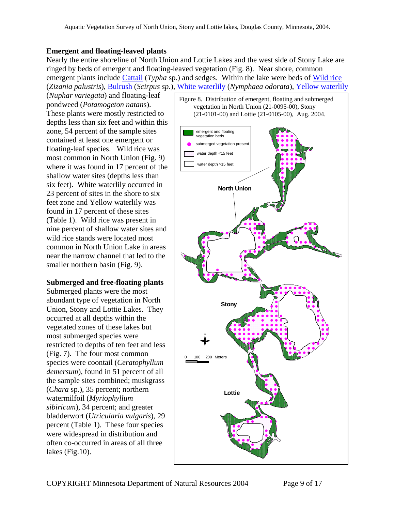#### **Emergent and floating-leaved plants**

Nearly the entire shoreline of North Union and Lottie Lakes and the west side of Stony Lake are ringed by beds of emergent and floating-leaved vegetation (Fig. 8). Near shore, common emergent plants include *[Cattail](http://www.dnr.state.mn.us/aquatic_plants/emergent_plants/cattails.html) (Typha sp.)* and sedges. Within the lake were beds of *[Wild rice](http://www.dnr.state.mn.us/aquatic_plants/emergent_plants/wildrice.html)* (*Zizania palustris*), [Bulrush](http://www.dnr.state.mn.us/aquatic_plants/emergent_plants/bulrushes.html) (*Scirpus sp*.), [White waterlily](http://www.dnr.state.mn.us/aquatic_plants/floatingleaf_plants/white_water_lily.html) (*Nymphaea odorata*), [Yellow waterlily](http://www.dnr.state.mn.us/aquatic_plants/floatingleaf_plants/spatterdock.html)

(*Nuphar variegata*) and floating-leaf pondweed (*Potamogeton natan*s). These plants were mostly restricted to depths less than six feet and within this zone, 54 percent of the sample sites contained at least one emergent or floating-leaf species. Wild rice was most common in North Union (Fig. 9) where it was found in 17 percent of the shallow water sites (depths less than six feet). White waterlily occurred in 23 percent of sites in the shore to six feet zone and Yellow waterlily was found in 17 percent of these sites (Table 1). Wild rice was present in nine percent of shallow water sites and wild rice stands were located most common in North Union Lake in areas near the narrow channel that led to the smaller northern basin (Fig. 9).

#### **Submerged and free-floating plants**

Submerged plants were the most abundant type of vegetation in North Union, Stony and Lottie Lakes. They occurred at all depths within the vegetated zones of these lakes but most submerged species were restricted to depths of ten feet and less (Fig. 7). The four most common species were coontail (*Ceratophyllum demersum*), found in 51 percent of all the sample sites combined; muskgrass (*Chara* sp.), 35 percent; northern watermilfoil (*Myriophyllum sibiricum*), 34 percent; and greater bladderwort (*Utricularia vulgaris*), 29 percent (Table 1). These four species were widespread in distribution and often co-occurred in areas of all three lakes (Fig.10).

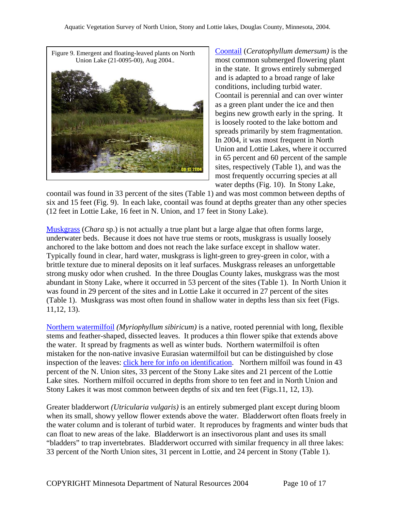

[Coontail](http://www.dnr.state.mn.us/aquatic_plants/submerged_plants/coontail.html) (*Ceratophyllum demersum)* is the most common submerged flowering plant in the state. It grows entirely submerged and is adapted to a broad range of lake conditions, including turbid water. Coontail is perennial and can over winter as a green plant under the ice and then begins new growth early in the spring. It is loosely rooted to the lake bottom and spreads primarily by stem fragmentation. In 2004, it was most frequent in North Union and Lottie Lakes, where it occurred in 65 percent and 60 percent of the sample sites, respectively (Table 1), and was the most frequently occurring species at all water depths (Fig. 10). In Stony Lake,

coontail was found in 33 percent of the sites (Table 1) and was most common between depths of six and 15 feet (Fig. 9). In each lake, coontail was found at depths greater than any other species (12 feet in Lottie Lake, 16 feet in N. Union, and 17 feet in Stony Lake).

[Muskgrass](http://www.dnr.state.mn.us/aquatic_plants/algae/chara.html) (*Chara* sp.) is not actually a true plant but a large algae that often forms large, underwater beds. Because it does not have true stems or roots, muskgrass is usually loosely anchored to the lake bottom and does not reach the lake surface except in shallow water. Typically found in clear, hard water, muskgrass is light-green to grey-green in color, with a brittle texture due to mineral deposits on it leaf surfaces. Muskgrass releases an unforgettable strong musky odor when crushed. In the three Douglas County lakes, muskgrass was the most abundant in Stony Lake, where it occurred in 53 percent of the sites (Table 1). In North Union it was found in 29 percent of the sites and in Lottie Lake it occurred in 27 percent of the sites (Table 1). Muskgrass was most often found in shallow water in depths less than six feet (Figs. 11,12, 13).

[Northern watermilfoil](http://www.dnr.state.mn.us/aquatic_plants/submerged_plants/northern_watermilfoil.html) *(Myriophyllum sibiricum)* is a native, rooted perennial with long, flexible stems and feather-shaped, dissected leaves. It produces a thin flower spike that extends above the water. It spread by fragments as well as winter buds. Northern watermilfoil is often mistaken for the non-native invasive Eurasian watermilfoil but can be distinguished by close inspection of the leaves: [click here for info on identification.](http://files.dnr.state.mn.us/natural_resources/invasives/aquaticplants/milfoil/idcard.pdf) Northern milfoil was found in 43 percent of the N. Union sites, 33 percent of the Stony Lake sites and 21 percent of the Lottie Lake sites. Northern milfoil occurred in depths from shore to ten feet and in North Union and Stony Lakes it was most common between depths of six and ten feet (Figs.11, 12, 13).

Greater bladderwort *(Utricularia vulgaris)* is an entirely submerged plant except during bloom when its small, showy yellow flower extends above the water. Bladderwort often floats freely in the water column and is tolerant of turbid water. It reproduces by fragments and winter buds that can float to new areas of the lake. Bladderwort is an insectivorous plant and uses its small "bladders" to trap invertebrates. Bladderwort occurred with similar frequency in all three lakes: 33 percent of the North Union sites, 31 percent in Lottie, and 24 percent in Stony (Table 1).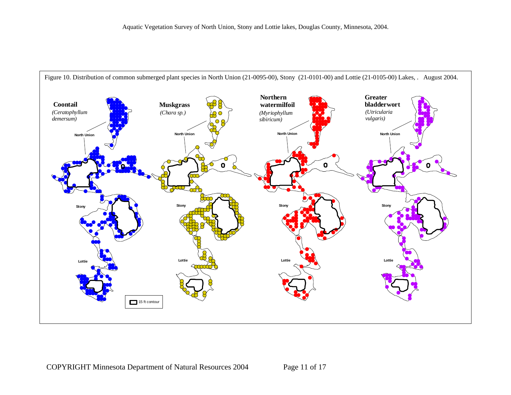

COPYRIGHT Minnesota Department of Natural Resources 2004 Page 11 of 17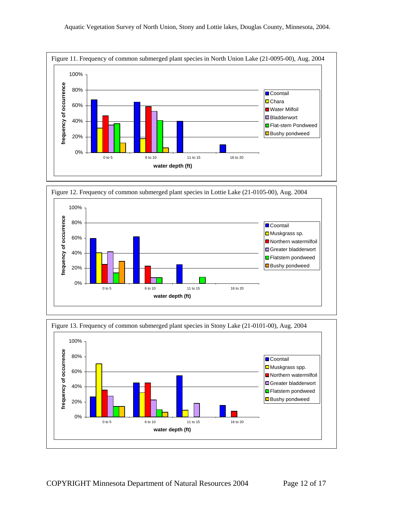



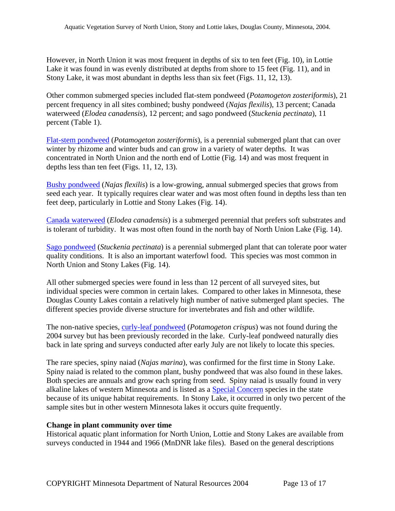However, in North Union it was most frequent in depths of six to ten feet (Fig. 10), in Lottie Lake it was found in was evenly distributed at depths from shore to 15 feet (Fig. 11), and in Stony Lake, it was most abundant in depths less than six feet (Figs. 11, 12, 13).

Other common submerged species included flat-stem pondweed (*Potamogeton zosteriformis*), 21 percent frequency in all sites combined; bushy pondweed (*Najas flexilis*), 13 percent; Canada waterweed (*Elodea canadensis*), 12 percent; and sago pondweed (*Stuckenia pectinata*), 11 percent (Table 1).

[Flat-stem pondweed](http://www.dnr.state.mn.us/aquatic_plants/submerged_plants/narrowleaf_pondweeds.html) (*Potamogeton zosteriformis*), is a perennial submerged plant that can over winter by rhizome and winter buds and can grow in a variety of water depths. It was concentrated in North Union and the north end of Lottie (Fig. 14) and was most frequent in depths less than ten feet (Figs. 11, 12, 13).

[Bushy pondweed](http://www.dnr.state.mn.us/aquatic_plants/submerged_plants/bushy_pondweeds.html) (*Najas flexilis*) is a low-growing, annual submerged species that grows from seed each year. It typically requires clear water and was most often found in depths less than ten feet deep, particularly in Lottie and Stony Lakes (Fig. 14).

[Canada waterweed](http://www.dnr.state.mn.us/aquatic_plants/submerged_plants/canada_waterweed.html) (*Elodea canadensis*) is a submerged perennial that prefers soft substrates and is tolerant of turbidity. It was most often found in the north bay of North Union Lake (Fig. 14).

[Sago pondweed](http://www.dnr.state.mn.us/aquatic_plants/submerged_plants/narrowleaf_pondweeds.html) (*Stuckenia pectinata*) is a perennial submerged plant that can tolerate poor water quality conditions. It is also an important waterfowl food. This species was most common in North Union and Stony Lakes (Fig. 14).

All other submerged species were found in less than 12 percent of all surveyed sites, but individual species were common in certain lakes. Compared to other lakes in Minnesota, these Douglas County Lakes contain a relatively high number of native submerged plant species. The different species provide diverse structure for invertebrates and fish and other wildlife.

The non-native species, [curly-leaf pondweed](http://www.dnr.state.mn.us/aquatic_plants/submerged_plants/curlyleaf_pondweed.html) (*Potamogeton crispus*) was not found during the 2004 survey but has been previously recorded in the lake. Curly-leaf pondweed naturally dies back in late spring and surveys conducted after early July are not likely to locate this species.

The rare species, spiny naiad (*Najas marina*), was confirmed for the first time in Stony Lake. Spiny naiad is related to the common plant, bushy pondweed that was also found in these lakes. Both species are annuals and grow each spring from seed. Spiny naiad is usually found in very alkaline lakes of western Minnesota and is listed as a [Special Concern](http://www.dnr.state.mn.us/ets/index.html) species in the state because of its unique habitat requirements. In Stony Lake, it occurred in only two percent of the sample sites but in other western Minnesota lakes it occurs quite frequently.

#### **Change in plant community over time**

Historical aquatic plant information for North Union, Lottie and Stony Lakes are available from surveys conducted in 1944 and 1966 (MnDNR lake files). Based on the general descriptions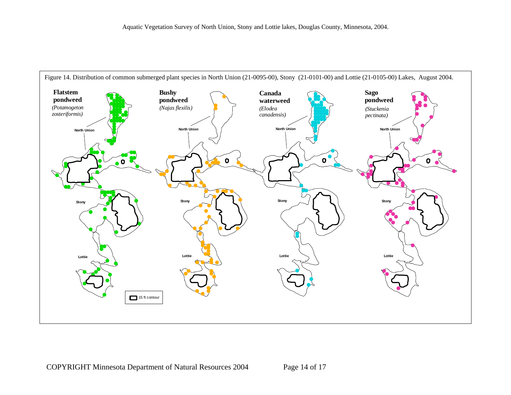

COPYRIGHT Minnesota Department of Natural Resources 2004 Page 14 of 17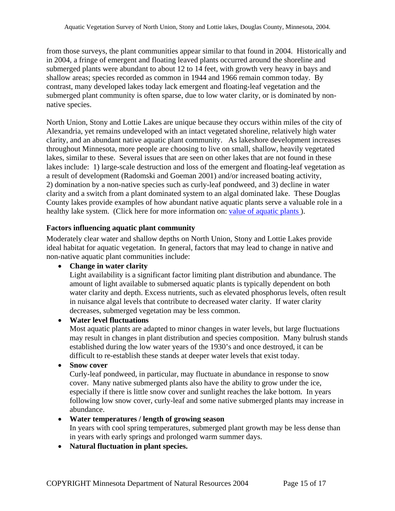from those surveys, the plant communities appear similar to that found in 2004. Historically and in 2004, a fringe of emergent and floating leaved plants occurred around the shoreline and submerged plants were abundant to about 12 to 14 feet, with growth very heavy in bays and shallow areas; species recorded as common in 1944 and 1966 remain common today. By contrast, many developed lakes today lack emergent and floating-leaf vegetation and the submerged plant community is often sparse, due to low water clarity, or is dominated by nonnative species.

North Union, Stony and Lottie Lakes are unique because they occurs within miles of the city of Alexandria, yet remains undeveloped with an intact vegetated shoreline, relatively high water clarity, and an abundant native aquatic plant community. As lakeshore development increases throughout Minnesota, more people are choosing to live on small, shallow, heavily vegetated lakes, similar to these. Several issues that are seen on other lakes that are not found in these lakes include: 1) large-scale destruction and loss of the emergent and floating-leaf vegetation as a result of development (Radomski and Goeman 2001) and/or increased boating activity, 2) domination by a non-native species such as curly-leaf pondweed, and 3) decline in water clarity and a switch from a plant dominated system to an algal dominated lake. These Douglas County lakes provide examples of how abundant native aquatic plants serve a valuable role in a healthy lake system. (Click here for more information on: value of aquatic plants).

#### **Factors influencing aquatic plant community**

Moderately clear water and shallow depths on North Union, Stony and Lottie Lakes provide ideal habitat for aquatic vegetation. In general, factors that may lead to change in native and non-native aquatic plant communities include:

#### • **Change in water clarity**

Light availability is a significant factor limiting plant distribution and abundance. The amount of light available to submersed aquatic plants is typically dependent on both water clarity and depth. Excess nutrients, such as elevated phosphorus levels, often result in nuisance algal levels that contribute to decreased water clarity. If water clarity decreases, submerged vegetation may be less common.

#### • **Water level fluctuations**

Most aquatic plants are adapted to minor changes in water levels, but large fluctuations may result in changes in plant distribution and species composition. Many bulrush stands established during the low water years of the 1930's and once destroyed, it can be difficult to re-establish these stands at deeper water levels that exist today.

#### • **Snow cover**

Curly-leaf pondweed, in particular, may fluctuate in abundance in response to snow cover. Many native submerged plants also have the ability to grow under the ice, especially if there is little snow cover and sunlight reaches the lake bottom. In years following low snow cover, curly-leaf and some native submerged plants may increase in abundance.

#### • **Water temperatures / length of growing season**

In years with cool spring temperatures, submerged plant growth may be less dense than in years with early springs and prolonged warm summer days.

#### • **Natural fluctuation in plant species.**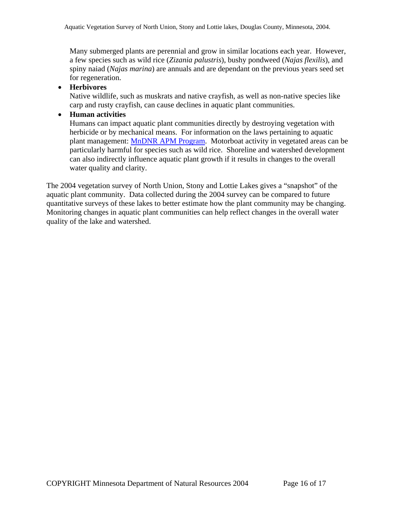Many submerged plants are perennial and grow in similar locations each year. However, a few species such as wild rice (*Zizania palustris*), bushy pondweed (*Najas flexilis*), and spiny naiad (*Najas marina*) are annuals and are dependant on the previous years seed set for regeneration.

#### • **Herbivores**

Native wildlife, such as muskrats and native crayfish, as well as non-native species like carp and rusty crayfish, can cause declines in aquatic plant communities.

#### • **Human activities**

Humans can impact aquatic plant communities directly by destroying vegetation with herbicide or by mechanical means. For information on the laws pertaining to aquatic plant management: [MnDNR APM Program.](http://www.dnr.state.mn.us/ecological_services/apm/index.html) Motorboat activity in vegetated areas can be particularly harmful for species such as wild rice. Shoreline and watershed development can also indirectly influence aquatic plant growth if it results in changes to the overall water quality and clarity.

The 2004 vegetation survey of North Union, Stony and Lottie Lakes gives a "snapshot" of the aquatic plant community. Data collected during the 2004 survey can be compared to future quantitative surveys of these lakes to better estimate how the plant community may be changing. Monitoring changes in aquatic plant communities can help reflect changes in the overall water quality of the lake and watershed.